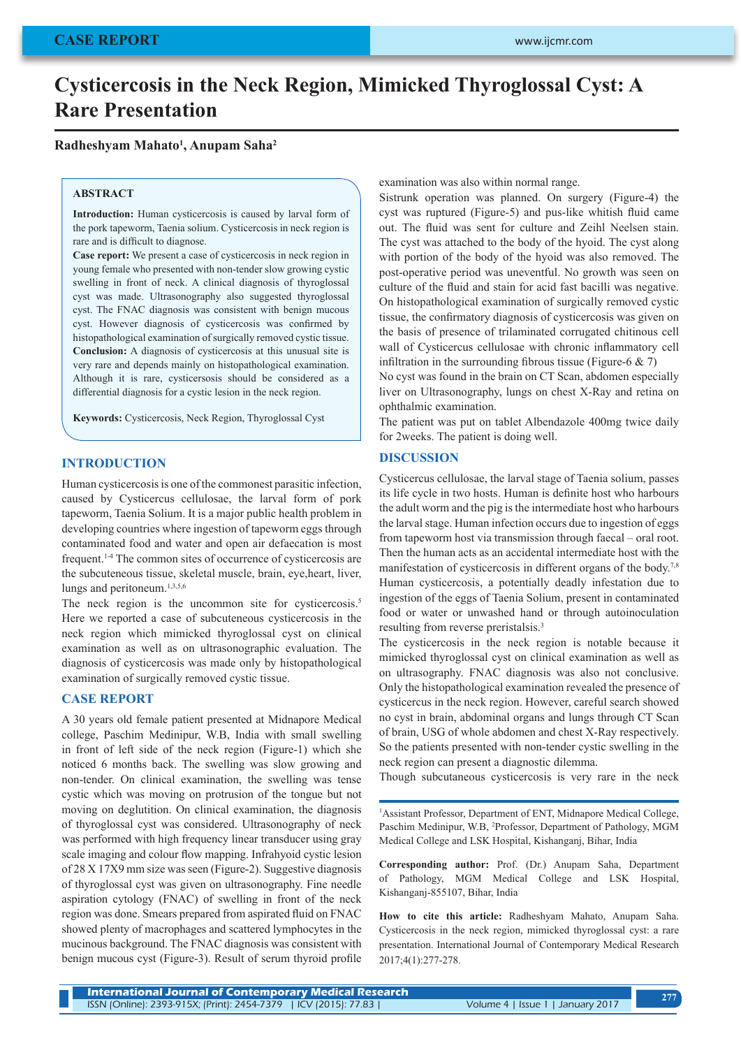# **Cysticercosis in the Neck Region, Mimicked Thyroglossal Cyst: A Rare Presentation**

## **Radheshyam Mahato1 , Anupam Saha2**

#### **ABSTRACT**

**Introduction:** Human cysticercosis is caused by larval form of the pork tapeworm, Taenia solium. Cysticercosis in neck region is rare and is difficult to diagnose.

**Case report:** We present a case of cysticercosis in neck region in young female who presented with non-tender slow growing cystic swelling in front of neck. A clinical diagnosis of thyroglossal cyst was made. Ultrasonography also suggested thyroglossal cyst. The FNAC diagnosis was consistent with benign mucous cyst. However diagnosis of cysticercosis was confirmed by histopathological examination of surgically removed cystic tissue. **Conclusion:** A diagnosis of cysticercosis at this unusual site is very rare and depends mainly on histopathological examination. Although it is rare, cysticersosis should be considered as a differential diagnosis for a cystic lesion in the neck region.

**Keywords:** Cysticercosis, Neck Region, Thyroglossal Cyst

## **INTRODUCTION**

Human cysticercosis is one of the commonest parasitic infection, caused by Cysticercus cellulosae, the larval form of pork tapeworm, Taenia Solium. It is a major public health problem in developing countries where ingestion of tapeworm eggs through contaminated food and water and open air defaecation is most frequent.1-4 The common sites of occurrence of cysticercosis are the subcuteneous tissue, skeletal muscle, brain, eye,heart, liver, lungs and peritoneum.<sup>1,3,5,6</sup>

The neck region is the uncommon site for cysticercosis.<sup>5</sup> Here we reported a case of subcuteneous cysticercosis in the neck region which mimicked thyroglossal cyst on clinical examination as well as on ultrasonographic evaluation. The diagnosis of cysticercosis was made only by histopathological examination of surgically removed cystic tissue.

## **CASE REPORT**

A 30 years old female patient presented at Midnapore Medical college, Paschim Medinipur, W.B, India with small swelling in front of left side of the neck region (Figure-1) which she noticed 6 months back. The swelling was slow growing and non-tender. On clinical examination, the swelling was tense cystic which was moving on protrusion of the tongue but not moving on deglutition. On clinical examination, the diagnosis of thyroglossal cyst was considered. Ultrasonography of neck was performed with high frequency linear transducer using gray scale imaging and colour flow mapping. Infrahyoid cystic lesion of 28 X 17X9 mm size was seen (Figure-2). Suggestive diagnosis of thyroglossal cyst was given on ultrasonography. Fine needle aspiration cytology (FNAC) of swelling in front of the neck region was done. Smears prepared from aspirated fluid on FNAC showed plenty of macrophages and scattered lymphocytes in the mucinous background. The FNAC diagnosis was consistent with benign mucous cyst (Figure-3). Result of serum thyroid profile examination was also within normal range.

Sistrunk operation was planned. On surgery (Figure-4) the cyst was ruptured (Figure-5) and pus-like whitish fluid came out. The fluid was sent for culture and Zeihl Neelsen stain. The cyst was attached to the body of the hyoid. The cyst along with portion of the body of the hyoid was also removed. The post-operative period was uneventful. No growth was seen on culture of the fluid and stain for acid fast bacilli was negative. On histopathological examination of surgically removed cystic tissue, the confirmatory diagnosis of cysticercosis was given on the basis of presence of trilaminated corrugated chitinous cell wall of Cysticercus cellulosae with chronic inflammatory cell infiltration in the surrounding fibrous tissue (Figure-6  $\&$  7)

No cyst was found in the brain on CT Scan, abdomen especially liver on Ultrasonography, lungs on chest X-Ray and retina on ophthalmic examination.

The patient was put on tablet Albendazole 400mg twice daily for 2weeks. The patient is doing well.

## **DISCUSSION**

Cysticercus cellulosae, the larval stage of Taenia solium, passes its life cycle in two hosts. Human is definite host who harbours the adult worm and the pig is the intermediate host who harbours the larval stage. Human infection occurs due to ingestion of eggs from tapeworm host via transmission through faecal – oral root. Then the human acts as an accidental intermediate host with the manifestation of cysticercosis in different organs of the body.<sup>7,8</sup> Human cysticercosis, a potentially deadly infestation due to ingestion of the eggs of Taenia Solium, present in contaminated food or water or unwashed hand or through autoinoculation resulting from reverse preristalsis.<sup>3</sup>

The cysticercosis in the neck region is notable because it mimicked thyroglossal cyst on clinical examination as well as on ultrasography. FNAC diagnosis was also not conclusive. Only the histopathological examination revealed the presence of cysticercus in the neck region. However, careful search showed no cyst in brain, abdominal organs and lungs through CT Scan of brain, USG of whole abdomen and chest X-Ray respectively. So the patients presented with non-tender cystic swelling in the neck region can present a diagnostic dilemma.

Though subcutaneous cysticercosis is very rare in the neck

1 Assistant Professor, Department of ENT, Midnapore Medical College, Paschim Medinipur, W.B, <sup>2</sup>Professor, Department of Pathology, MGM Medical College and LSK Hospital, Kishanganj, Bihar, India

**Corresponding author:** Prof. (Dr.) Anupam Saha, Department of Pathology, MGM Medical College and LSK Hospital, Kishanganj-855107, Bihar, India

**How to cite this article:** Radheshyam Mahato, Anupam Saha. Cysticercosis in the neck region, mimicked thyroglossal cyst: a rare presentation. International Journal of Contemporary Medical Research 2017;4(1):277-278.